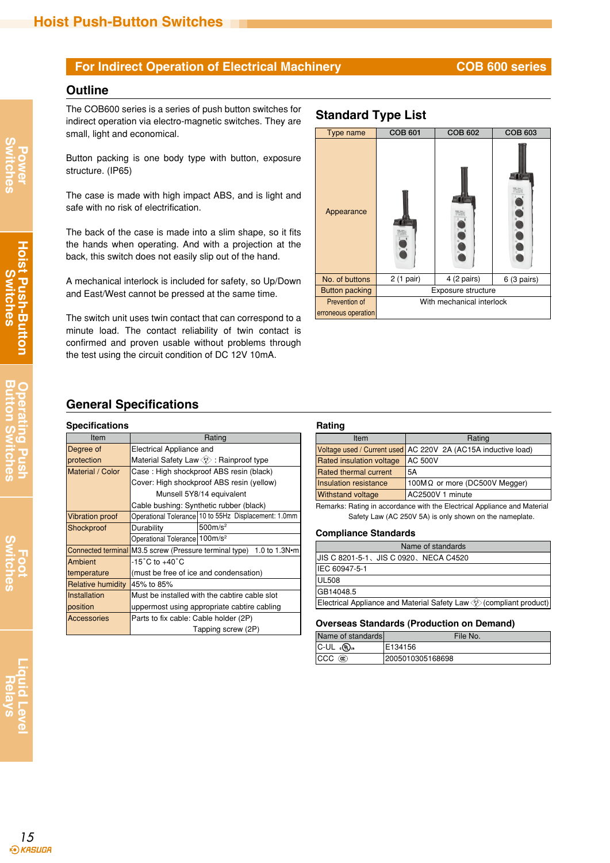# **For Indirect Operation of Electrical Machinery <b>COB 600 series**

### **Outline**

The COB600 series is a series of push button switches for indirect operation via electro-magnetic switches. They are small, light and economical.

Button packing is one body type with button, exposure structure. (IP65)

The case is made with high impact ABS, and is light and safe with no risk of electrification.

The back of the case is made into a slim shape, so it fits the hands when operating. And with a projection at the back, this switch does not easily slip out of the hand.

A mechanical interlock is included for safety, so Up/Down and East/West cannot be pressed at the same time.

The switch unit uses twin contact that can correspond to a minute load. The contact reliability of twin contact is confirmed and proven usable without problems through the test using the circuit condition of DC 12V 10mA.

### **Standard Type List**



### **General Specifications**

### **Specifications**

| Item                     | Rating                                                               |                                                      |  |  |
|--------------------------|----------------------------------------------------------------------|------------------------------------------------------|--|--|
| Degree of                | Electrical Appliance and                                             |                                                      |  |  |
| protection               | Material Safety Law (e> : Rainproof type                             |                                                      |  |  |
| Material / Color         | Case: High shockproof ABS resin (black)                              |                                                      |  |  |
|                          | Cover: High shockproof ABS resin (yellow)                            |                                                      |  |  |
|                          | Munsell 5Y8/14 equivalent                                            |                                                      |  |  |
|                          | Cable bushing: Synthetic rubber (black)                              |                                                      |  |  |
| <b>Vibration proof</b>   |                                                                      | Operational Tolerance 10 to 55Hz Displacement: 1.0mm |  |  |
| Shockproof               | Durability                                                           | 500m/s <sup>2</sup>                                  |  |  |
|                          | Operational Tolerance 100m/s <sup>2</sup>                            |                                                      |  |  |
|                          | Connected terminal M3.5 screw (Pressure terminal type) 1.0 to 1.3N·m |                                                      |  |  |
| Ambient                  | $-15^{\circ}$ C to $+40^{\circ}$ C                                   |                                                      |  |  |
| temperature              | (must be free of ice and condensation)                               |                                                      |  |  |
| <b>Relative humidity</b> | 45% to 85%                                                           |                                                      |  |  |
| Installation             | Must be installed with the cabtire cable slot                        |                                                      |  |  |
| position                 | uppermost using appropriate cabtire cabling                          |                                                      |  |  |
| <b>Accessories</b>       | Parts to fix cable: Cable holder (2P)                                |                                                      |  |  |
|                          | Tapping screw (2P)                                                   |                                                      |  |  |

### **Rating**

| .                        |                                                               |  |
|--------------------------|---------------------------------------------------------------|--|
| Item                     | Rating                                                        |  |
|                          | Voltage used / Current used AC 220V 2A (AC15A inductive load) |  |
| Rated insulation voltage | <b>AC 500V</b>                                                |  |
| Rated thermal current    | 5A                                                            |  |
| Insulation resistance    | 100M $\Omega$ or more (DC500V Megger)                         |  |
| <b>Withstand voltage</b> | AC2500V 1 minute                                              |  |
|                          |                                                               |  |

Remarks: Rating in accordance with the Electrical Appliance and Material Safety Law (AC 250V 5A) is only shown on the nameplate.

#### **Compliance Standards**

| Name of standards                                                    |  |  |
|----------------------------------------------------------------------|--|--|
| UIS C 8201-5-1、JIS C 0920、NECA C4520                                 |  |  |
| IIEC 60947-5-1                                                       |  |  |
| <b>UL508</b>                                                         |  |  |
| IGB14048.5                                                           |  |  |
| Electrical Appliance and Material Safety Law (e) (compliant product) |  |  |

#### **Overseas Standards (Production on Demand)**

| Name of standards | File No.         |  |
|-------------------|------------------|--|
| C-UL ⊕ (પ )us     | E134156          |  |
| $CCC$ $\circledR$ | 2005010305168698 |  |